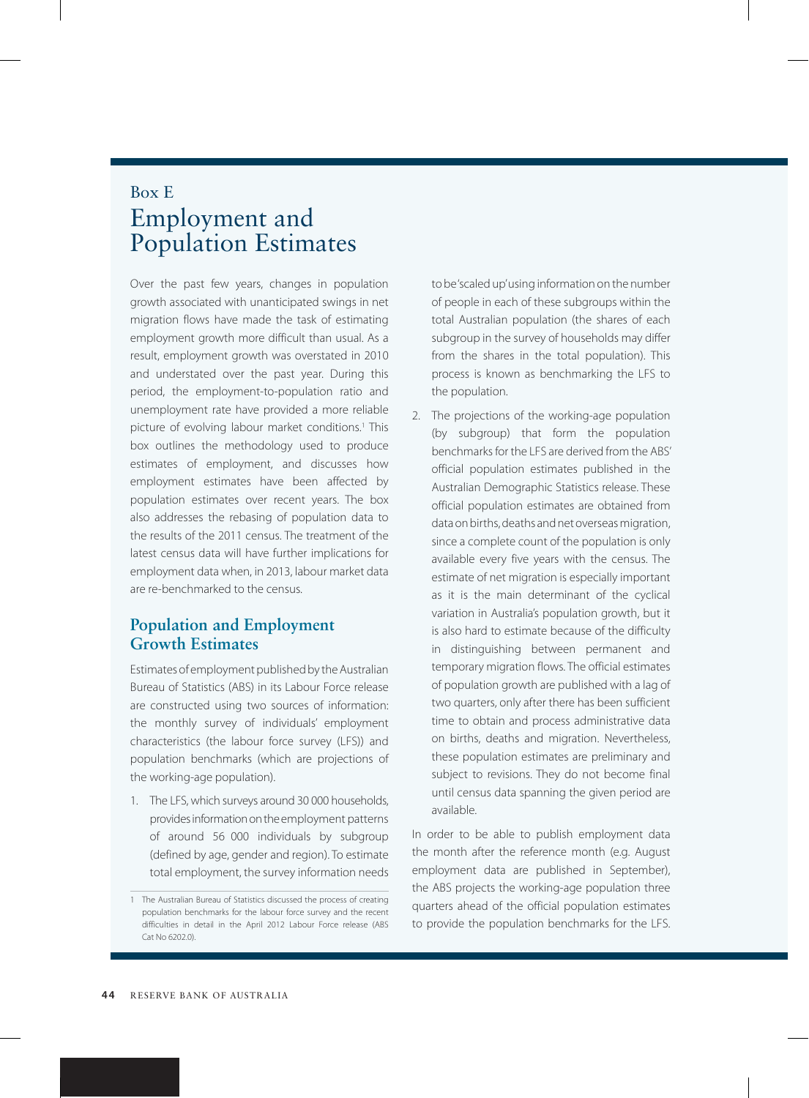## Box E Employment and Population Estimates

Over the past few years, changes in population growth associated with unanticipated swings in net migration flows have made the task of estimating employment growth more difficult than usual. As a result, employment growth was overstated in 2010 and understated over the past year. During this period, the employment-to-population ratio and unemployment rate have provided a more reliable picture of evolving labour market conditions.<sup>1</sup> This box outlines the methodology used to produce estimates of employment, and discusses how employment estimates have been affected by population estimates over recent years. The box also addresses the rebasing of population data to the results of the 2011 census. The treatment of the latest census data will have further implications for employment data when, in 2013, labour market data are re-benchmarked to the census.

## **Population and Employment Growth Estimates**

Estimates of employment published by the Australian Bureau of Statistics (ABS) in its Labour Force release are constructed using two sources of information: the monthly survey of individuals' employment characteristics (the labour force survey (LFS)) and population benchmarks (which are projections of the working-age population).

1. The LFS, which surveys around 30 000 households, provides information on the employment patterns of around 56 000 individuals by subgroup (defined by age, gender and region). To estimate total employment, the survey information needs to be 'scaled up' using information on the number of people in each of these subgroups within the total Australian population (the shares of each subgroup in the survey of households may differ from the shares in the total population). This process is known as benchmarking the LFS to the population.

2. The projections of the working-age population (by subgroup) that form the population benchmarks for the LFS are derived from the ABS' official population estimates published in the Australian Demographic Statistics release. These official population estimates are obtained from data on births, deaths and net overseas migration, since a complete count of the population is only available every five years with the census. The estimate of net migration is especially important as it is the main determinant of the cyclical variation in Australia's population growth, but it is also hard to estimate because of the difficulty in distinguishing between permanent and temporary migration flows. The official estimates of population growth are published with a lag of two quarters, only after there has been sufficient time to obtain and process administrative data on births, deaths and migration. Nevertheless, these population estimates are preliminary and subject to revisions. They do not become final until census data spanning the given period are available.

In order to be able to publish employment data the month after the reference month (e.g. August employment data are published in September), the ABS projects the working-age population three quarters ahead of the official population estimates to provide the population benchmarks for the LFS.

<sup>1</sup> The Australian Bureau of Statistics discussed the process of creating population benchmarks for the labour force survey and the recent difficulties in detail in the April 2012 Labour Force release (ABS Cat No 6202.0).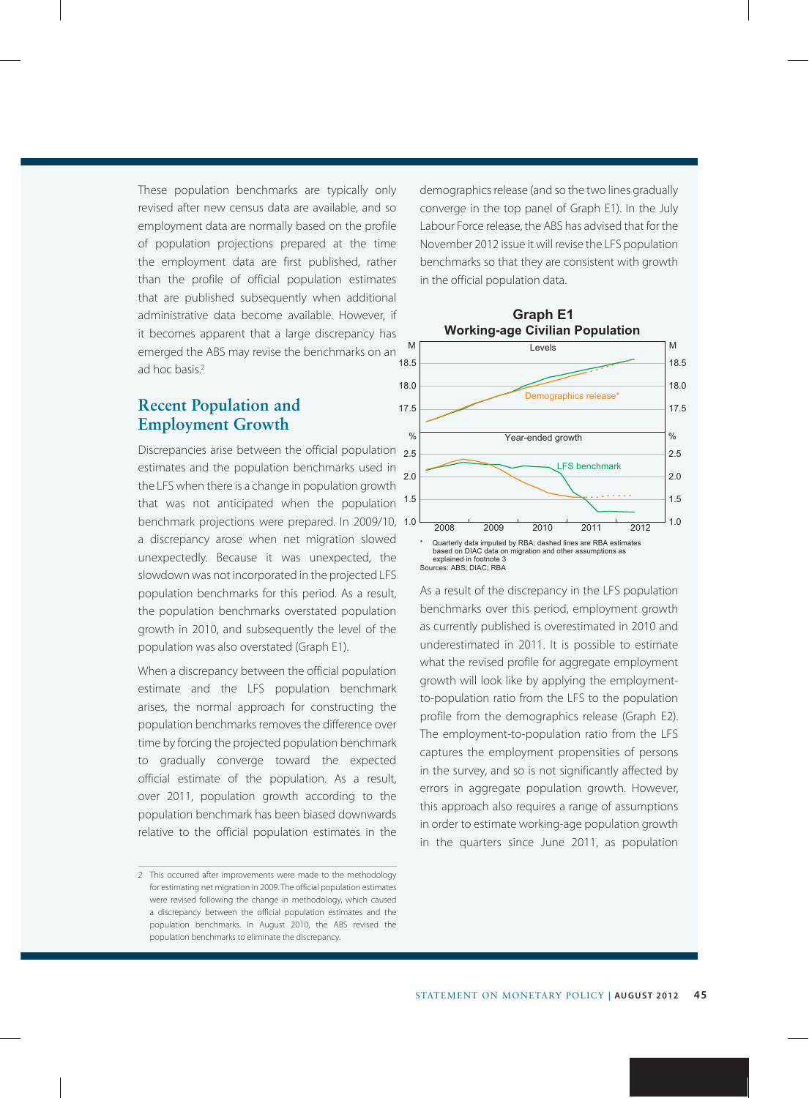These population benchmarks are typically only revised after new census data are available, and so employment data are normally based on the profile of population projections prepared at the time the employment data are first published, rather than the profile of official population estimates that are published subsequently when additional administrative data become available. However, if it becomes apparent that a large discrepancy has emerged the ABS may revise the benchmarks on an ad hoc basis.2

## **Recent Population and Employment Growth**

Discrepancies arise between the official population 2.5 estimates and the population benchmarks used in the LFS when there is a change in population growth that was not anticipated when the population benchmark projections were prepared. In 2009/10, 1.0 a discrepancy arose when net migration slowed unexpectedly. Because it was unexpected, the slowdown was not incorporated in the projected LFS population benchmarks for this period. As a result, the population benchmarks overstated population growth in 2010, and subsequently the level of the population was also overstated (Graph E1).

When a discrepancy between the official population estimate and the LFS population benchmark arises, the normal approach for constructing the population benchmarks removes the difference over time by forcing the projected population benchmark to gradually converge toward the expected official estimate of the population. As a result, over 2011, population growth according to the population benchmark has been biased downwards relative to the official population estimates in the demographics release (and so the two lines gradually converge in the top panel of Graph E1). In the July Labour Force release, the ABS has advised that for the November 2012 issue it will revise the LFS population benchmarks so that they are consistent with growth in the official population data.



As a result of the discrepancy in the LFS population benchmarks over this period, employment growth as currently published is overestimated in 2010 and underestimated in 2011. It is possible to estimate what the revised profile for aggregate employment growth will look like by applying the employmentto-population ratio from the LFS to the population profile from the demographics release (Graph E2). The employment-to-population ratio from the LFS captures the employment propensities of persons in the survey, and so is not significantly affected by errors in aggregate population growth. However, this approach also requires a range of assumptions in order to estimate working-age population growth in the quarters since June 2011, as population

<sup>2</sup> This occurred after improvements were made to the methodology for estimating net migration in 2009. The official population estimates were revised following the change in methodology, which caused a discrepancy between the official population estimates and the population benchmarks. In August 2010, the ABS revised the population benchmarks to eliminate the discrepancy.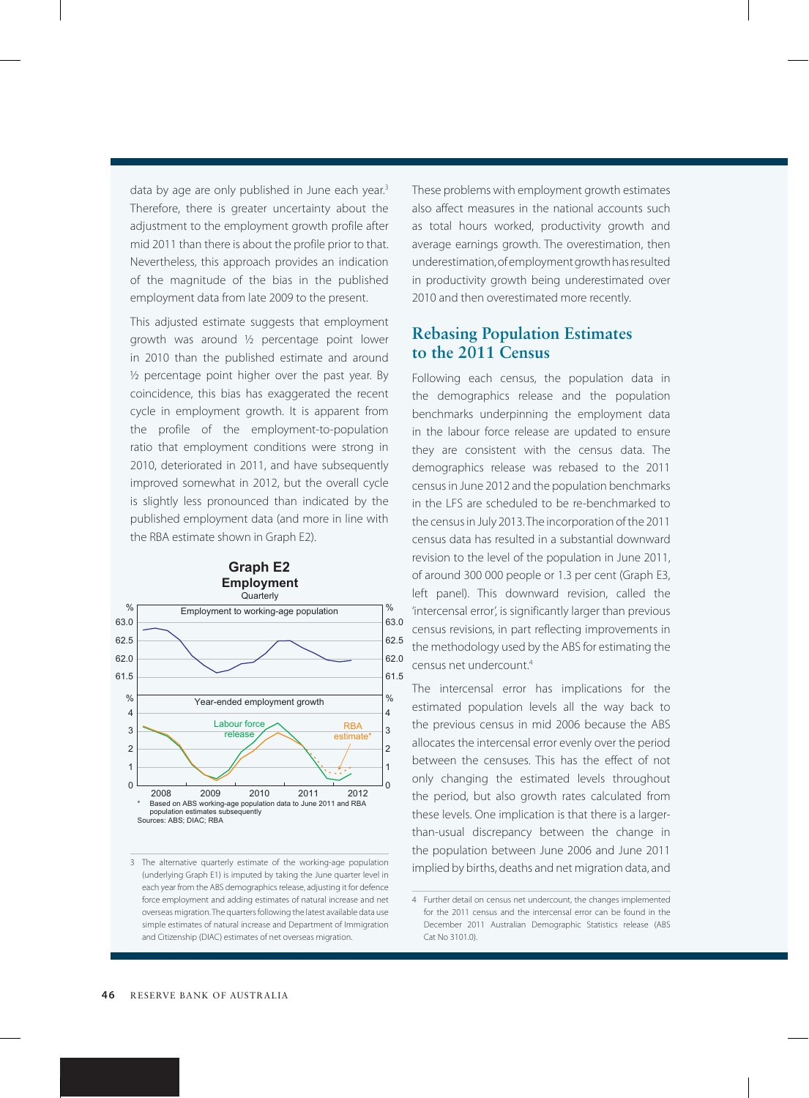data by age are only published in June each year.<sup>3</sup> Therefore, there is greater uncertainty about the adjustment to the employment growth profile after mid 2011 than there is about the profile prior to that. Nevertheless, this approach provides an indication of the magnitude of the bias in the published employment data from late 2009 to the present.

This adjusted estimate suggests that employment growth was around ½ percentage point lower in 2010 than the published estimate and around  $\frac{1}{2}$  percentage point higher over the past year. By coincidence, this bias has exaggerated the recent cycle in employment growth. It is apparent from the profile of the employment-to-population ratio that employment conditions were strong in 2010, deteriorated in 2011, and have subsequently improved somewhat in 2012, but the overall cycle is slightly less pronounced than indicated by the published employment data (and more in line with the RBA estimate shown in Graph E2).

**Graph E2**



3 The alternative quarterly estimate of the working-age population (underlying Graph E1) is imputed by taking the June quarter level in each year from the ABS demographics release, adjusting it for defence force employment and adding estimates of natural increase and net overseas migration. The quarters following the latest available data use simple estimates of natural increase and Department of Immigration and Citizenship (DIAC) estimates of net overseas migration.

These problems with employment growth estimates also affect measures in the national accounts such as total hours worked, productivity growth and average earnings growth. The overestimation, then underestimation, of employment growth has resulted in productivity growth being underestimated over 2010 and then overestimated more recently.

## **Rebasing Population Estimates to the 2011 Census**

Following each census, the population data in the demographics release and the population benchmarks underpinning the employment data in the labour force release are updated to ensure they are consistent with the census data. The demographics release was rebased to the 2011 census in June 2012 and the population benchmarks in the LFS are scheduled to be re-benchmarked to the census in July 2013. The incorporation of the 2011 census data has resulted in a substantial downward revision to the level of the population in June 2011, of around 300 000 people or 1.3 per cent (Graph E3, left panel). This downward revision, called the 'intercensal error', is significantly larger than previous census revisions, in part reflecting improvements in the methodology used by the ABS for estimating the census net undercount.4

The intercensal error has implications for the estimated population levels all the way back to the previous census in mid 2006 because the ABS allocates the intercensal error evenly over the period between the censuses. This has the effect of not only changing the estimated levels throughout the period, but also growth rates calculated from these levels. One implication is that there is a largerthan-usual discrepancy between the change in the population between June 2006 and June 2011 implied by births, deaths and net migration data, and

<sup>4</sup> Further detail on census net undercount, the changes implemented for the 2011 census and the intercensal error can be found in the December 2011 Australian Demographic Statistics release (ABS Cat No 3101.0).